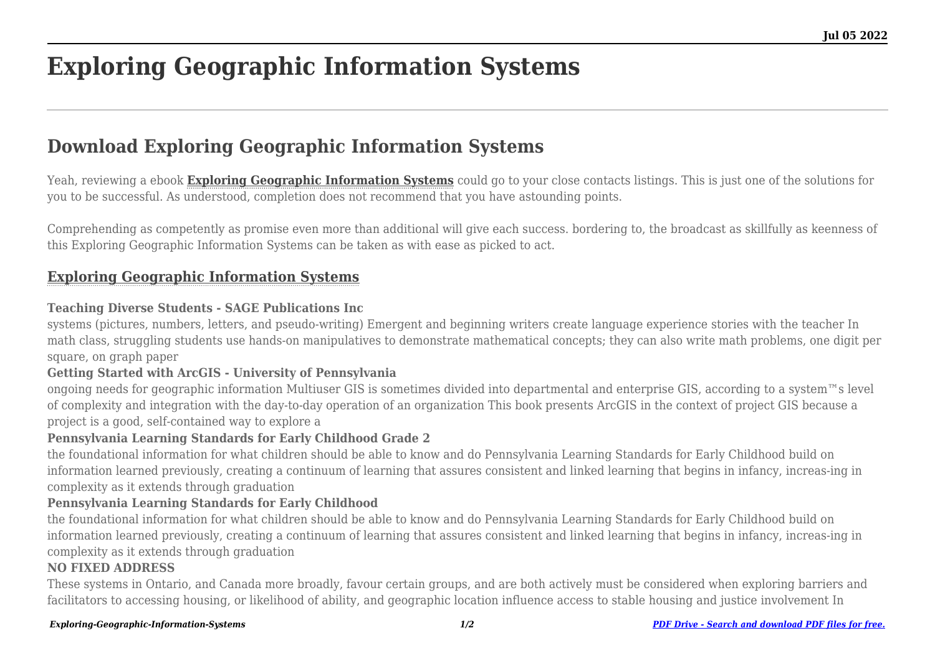# **Exploring Geographic Information Systems**

## **Download Exploring Geographic Information Systems**

Yeah, reviewing a ebook **[Exploring Geographic Information Systems](http://jessicaberan.com)** could go to your close contacts listings. This is just one of the solutions for you to be successful. As understood, completion does not recommend that you have astounding points.

Comprehending as competently as promise even more than additional will give each success. bordering to, the broadcast as skillfully as keenness of this Exploring Geographic Information Systems can be taken as with ease as picked to act.

### **[Exploring Geographic Information Systems](http://jessicaberan.com/Exploring-Geographic-Information-Systems.pdf)**

#### **Teaching Diverse Students - SAGE Publications Inc**

systems (pictures, numbers, letters, and pseudo-writing) Emergent and beginning writers create language experience stories with the teacher In math class, struggling students use hands-on manipulatives to demonstrate mathematical concepts; they can also write math problems, one digit per square, on graph paper

#### **Getting Started with ArcGIS - University of Pennsylvania**

ongoing needs for geographic information Multiuser GIS is sometimes divided into departmental and enterprise GIS, according to a system™s level of complexity and integration with the day-to-day operation of an organization This book presents ArcGIS in the context of project GIS because a project is a good, self-contained way to explore a

#### **Pennsylvania Learning Standards for Early Childhood Grade 2**

the foundational information for what children should be able to know and do Pennsylvania Learning Standards for Early Childhood build on information learned previously, creating a continuum of learning that assures consistent and linked learning that begins in infancy, increas-ing in complexity as it extends through graduation

#### **Pennsylvania Learning Standards for Early Childhood**

the foundational information for what children should be able to know and do Pennsylvania Learning Standards for Early Childhood build on information learned previously, creating a continuum of learning that assures consistent and linked learning that begins in infancy, increas-ing in complexity as it extends through graduation

#### **NO FIXED ADDRESS**

These systems in Ontario, and Canada more broadly, favour certain groups, and are both actively must be considered when exploring barriers and facilitators to accessing housing, or likelihood of ability, and geographic location influence access to stable housing and justice involvement In